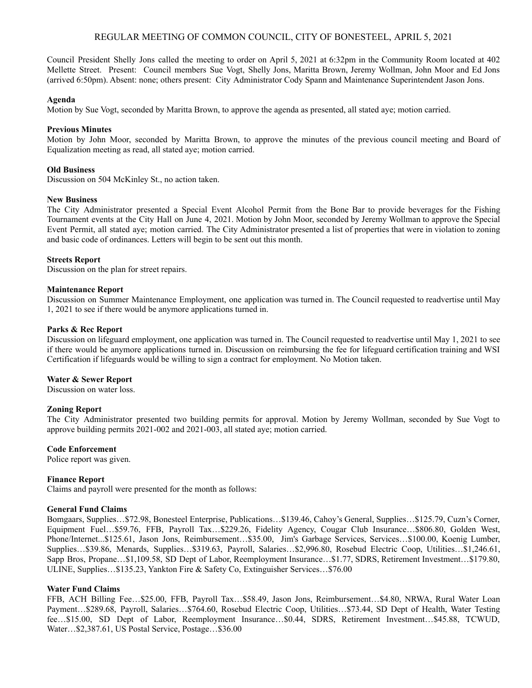# REGULAR MEETING OF COMMON COUNCIL, CITY OF BONESTEEL, APRIL 5, 2021

Council President Shelly Jons called the meeting to order on April 5, 2021 at 6:32pm in the Community Room located at 402 Mellette Street. Present: Council members Sue Vogt, Shelly Jons, Maritta Brown, Jeremy Wollman, John Moor and Ed Jons (arrived 6:50pm). Absent: none; others present: City Administrator Cody Spann and Maintenance Superintendent Jason Jons.

### **Agenda**

Motion by Sue Vogt, seconded by Maritta Brown, to approve the agenda as presented, all stated aye; motion carried.

### **Previous Minutes**

Motion by John Moor, seconded by Maritta Brown, to approve the minutes of the previous council meeting and Board of Equalization meeting as read, all stated aye; motion carried.

### **Old Business**

Discussion on 504 McKinley St., no action taken.

#### **New Business**

The City Administrator presented a Special Event Alcohol Permit from the Bone Bar to provide beverages for the Fishing Tournament events at the City Hall on June 4, 2021. Motion by John Moor, seconded by Jeremy Wollman to approve the Special Event Permit, all stated aye; motion carried. The City Administrator presented a list of properties that were in violation to zoning and basic code of ordinances. Letters will begin to be sent out this month.

### **Streets Report**

Discussion on the plan for street repairs.

### **Maintenance Report**

Discussion on Summer Maintenance Employment, one application was turned in. The Council requested to readvertise until May 1, 2021 to see if there would be anymore applications turned in.

### **Parks & Rec Report**

Discussion on lifeguard employment, one application was turned in. The Council requested to readvertise until May 1, 2021 to see if there would be anymore applications turned in. Discussion on reimbursing the fee for lifeguard certification training and WSI Certification if lifeguards would be willing to sign a contract for employment. No Motion taken.

### **Water & Sewer Report**

Discussion on water loss.

## **Zoning Report**

The City Administrator presented two building permits for approval. Motion by Jeremy Wollman, seconded by Sue Vogt to approve building permits 2021-002 and 2021-003, all stated aye; motion carried.

#### **Code Enforcement**

Police report was given.

#### **Finance Report**

Claims and payroll were presented for the month as follows:

### **General Fund Claims**

Bomgaars, Supplies…\$72.98, Bonesteel Enterprise, Publications…\$139.46, Cahoy's General, Supplies…\$125.79, Cuzn's Corner, Equipment Fuel…\$59.76, FFB, Payroll Tax…\$229.26, Fidelity Agency, Cougar Club Insurance…\$806.80, Golden West, Phone/Internet...\$125.61, Jason Jons, Reimbursement…\$35.00, Jim's Garbage Services, Services…\$100.00, Koenig Lumber, Supplies…\$39.86, Menards, Supplies…\$319.63, Payroll, Salaries…\$2,996.80, Rosebud Electric Coop, Utilities…\$1,246.61, Sapp Bros, Propane…\$1,109.58, SD Dept of Labor, Reemployment Insurance…\$1.77, SDRS, Retirement Investment…\$179.80, ULINE, Supplies…\$135.23, Yankton Fire & Safety Co, Extinguisher Services…\$76.00

## **Water Fund Claims**

FFB, ACH Billing Fee…\$25.00, FFB, Payroll Tax…\$58.49, Jason Jons, Reimbursement…\$4.80, NRWA, Rural Water Loan Payment…\$289.68, Payroll, Salaries…\$764.60, Rosebud Electric Coop, Utilities…\$73.44, SD Dept of Health, Water Testing fee…\$15.00, SD Dept of Labor, Reemployment Insurance…\$0.44, SDRS, Retirement Investment…\$45.88, TCWUD, Water…\$2,387.61, US Postal Service, Postage…\$36.00